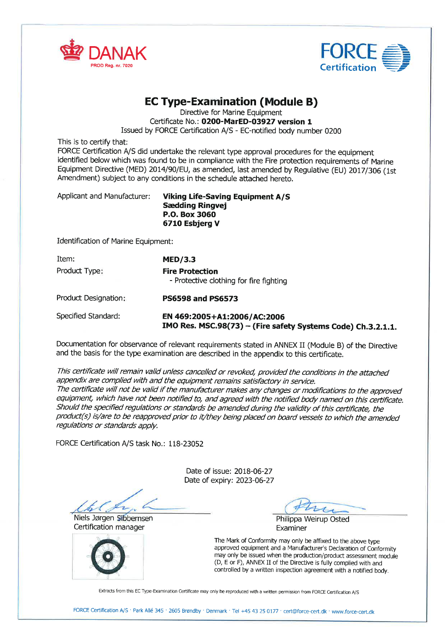



### EC Type-Examination (Module B)

Directive for Marine Equipment

Certificate No.: 0200-MarED-03927 version 1

Issued by FORCE Certification A/S - EC-notified body number 0200

This is to certify that:

FORCE Certification A/S did undertake the relevant type approval procedures for the equipment identified below which was found to be in compliance with the Fire protection requirements of Marine Equipment Directive (MED) 2014/90/EU, as amended, last amended by Regulative (EU) 2017/306 (1st Amendment) subject to any conditions in the schedule attached hereto.

Applicant and Manufacturer: Viking Life-Saving Equipment A/S Sædding Ringvej P.O. Box 3O6O 671O Esbjerg V

Identification of Marine Equipment:

| Item:                | MED/3.3                                                           |  |
|----------------------|-------------------------------------------------------------------|--|
| Product Type:        | <b>Fire Protection</b><br>- Protective clothing for fire fighting |  |
| Product Designation: | <b>PS6598 and PS6573</b>                                          |  |
| $\sim$               |                                                                   |  |

Specified Standard: EN 469: 2OO5+Al : 2OO6/AC: 2OO6  $IMO$  Res. MSC.98 $(73)$  – (Fire safety Systems Code) Ch.3.2.1.1.

Documentation for obseruance of relevant requirements stated in ANNEX II (Module B) of the Directive and the basis for the type examination are described in the appendix to this certificate.

This certificate will remain valid unless cancelled or revoked, provided the conditions in the attached appendix are complied with and the equipment remains satisfactory in service. The certificate will not be valid if the manufacturer makes any changes or modifications to the approved equipment, which have not been notified to, and agreed with the notified body named on this certificate. Should the specified regulations or standards be amended during the validity of this certificate, the product(s) is/are to be reapproved prior to it/they being placed on board vessels to which the amended regulations or standards apply.

FORCE Certification A/S task No.: 118-23052

Date of issue: 2018-06-27 Date of expiry: 2023-06-27

Niels Jørgen Sibbernsen Maria et al. 2008 ble Philippa Weirup Osted Cettification manager



Examiner

The Mark of Conformity may only be affixed to the above type approved equipment and a Manufacturer's Declaration of Conformity may only be issued when the production/product assessment module (D, E or F), ANNEX II of the Directive is fully complied with and controlled by a written inspection agreement with a notified body.

Extracts from this EC Type-Examination Certificate may only be reproduced with a written permission from FORCE Certification A/S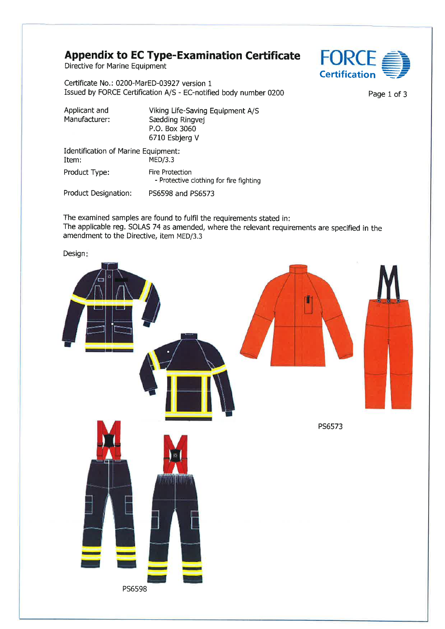### Appendix to EC Type-Examination Certificate  $FORCE$

Directive for Marine Equipment

Certificate No.: 0200-MarED-03927 version <sup>1</sup> Issued by FORCE Certification A/S - EC-notified body number 0200 Page 1 of 3

| Applicant and<br>Manufacturer:               | Viking Life-Saving Equipment A/S<br>Sædding Ringvej<br>P.O. Box 3060<br>6710 Esbjerg V |
|----------------------------------------------|----------------------------------------------------------------------------------------|
| Identification of Marine Equipment:<br>Item: | MED/3.3                                                                                |
| Product Type:                                | Fire Protection<br>- Protective clothing for fire fighting                             |
| Product Designation:                         | PS6598 and PS6573                                                                      |

The examined samples are found to fulfil the requirements stated in: The applicable reg. SOLAS 74 as amended, where the relevant requirements are specified in the amendment to the Directive, item MED/3.3

Design:



**Certification** -----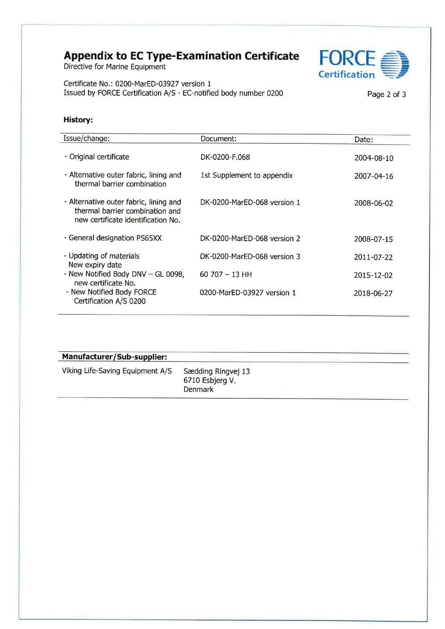# Appendix to EC Type-Examination Certificate FORCE<br>Directive for Marine Equipment

**FORCE**<br>Certification

Ceftificate No.: 0200-MarED-03927 version <sup>1</sup> Issued by FORCE Certification A/S - EC-notified body number 0200 Page 2 of 3

#### History:

| Issue/change:                                                                                                   | Document:                   | Date:      |
|-----------------------------------------------------------------------------------------------------------------|-----------------------------|------------|
| - Original certificate                                                                                          | DK-0200-F.068               | 2004-08-10 |
| - Alternative outer fabric, lining and<br>thermal barrier combination                                           | 1st Supplement to appendix  | 2007-04-16 |
| - Alternative outer fabric, lining and<br>thermal barrier combination and<br>new certificate identification No. | DK-0200-MarFD-068 version 1 | 2008-06-02 |
| - General designation PS65XX                                                                                    | DK-0200-MarED-068 version 2 | 2008-07-15 |
| - Updating of materials<br>New expiry date                                                                      | DK-0200-MarED-068 version 3 | 2011-07-22 |
| - New Notified Body DNV - GL 0098,<br>new certificate No.                                                       | $60707 - 13$ HH             | 2015-12-02 |
| - New Notified Body FORCE<br>Certification A/S 0200                                                             | 0200-MarED-03927 version 1  | 2018-06-27 |

| Manufacturer/Sub-supplier:       |                                                  |  |
|----------------------------------|--------------------------------------------------|--|
| Viking Life-Saving Equipment A/S | Sædding Ringvej 13<br>6710 Esbjerg V.<br>Denmark |  |